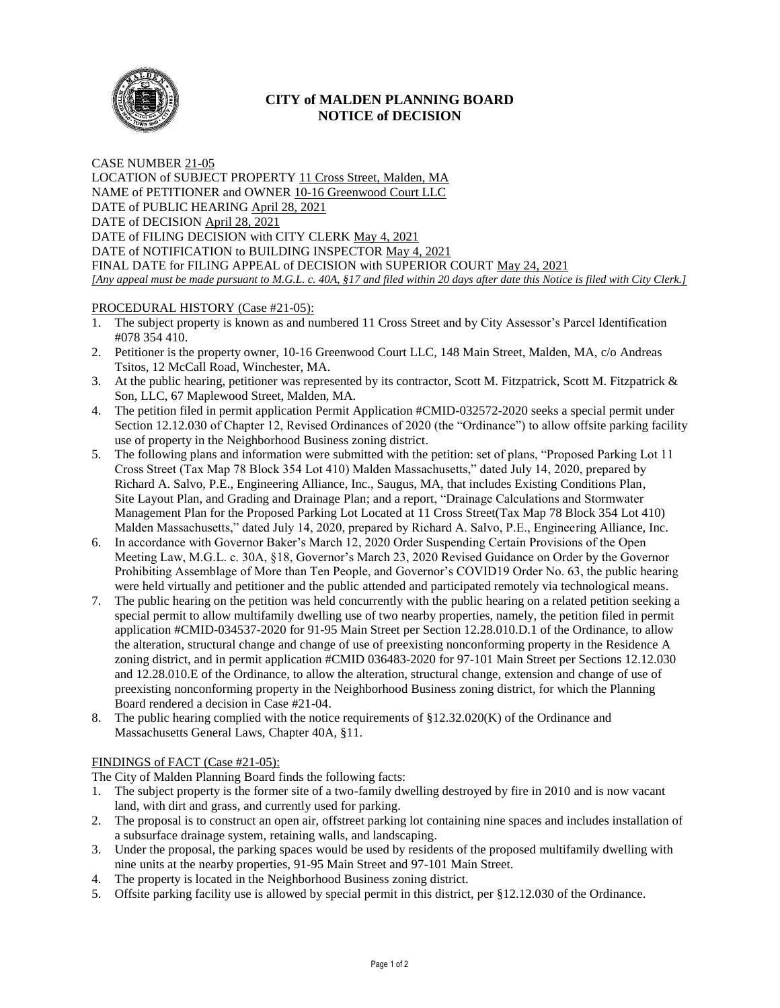

# **CITY of MALDEN PLANNING BOARD NOTICE of DECISION**

CASE NUMBER 21-05 LOCATION of SUBJECT PROPERTY 11 Cross Street, Malden, MA NAME of PETITIONER and OWNER 10-16 Greenwood Court LLC DATE of PUBLIC HEARING April 28, 2021 DATE of DECISION April 28, 2021 DATE of FILING DECISION with CITY CLERK May 4, 2021 DATE of NOTIFICATION to BUILDING INSPECTOR May 4, 2021 FINAL DATE for FILING APPEAL of DECISION with SUPERIOR COURT May 24, 2021 *[Any appeal must be made pursuant to M.G.L. c. 40A, §17 and filed within 20 days after date this Notice is filed with City Clerk.]* 

## PROCEDURAL HISTORY (Case #21-05):

- 1. The subject property is known as and numbered 11 Cross Street and by City Assessor's Parcel Identification #078 354 410.
- 2. Petitioner is the property owner, 10-16 Greenwood Court LLC, 148 Main Street, Malden, MA, c/o Andreas Tsitos, 12 McCall Road, Winchester, MA.
- 3. At the public hearing, petitioner was represented by its contractor, Scott M. Fitzpatrick, Scott M. Fitzpatrick & Son, LLC, 67 Maplewood Street, Malden, MA.
- 4. The petition filed in permit application Permit Application #CMID-032572-2020 seeks a special permit under Section 12.12.030 of Chapter 12, Revised Ordinances of 2020 (the "Ordinance") to allow offsite parking facility use of property in the Neighborhood Business zoning district.
- 5. The following plans and information were submitted with the petition: set of plans, "Proposed Parking Lot 11 Cross Street (Tax Map 78 Block 354 Lot 410) Malden Massachusetts," dated July 14, 2020, prepared by Richard A. Salvo, P.E., Engineering Alliance, Inc., Saugus, MA, that includes Existing Conditions Plan, Site Layout Plan, and Grading and Drainage Plan; and a report, "Drainage Calculations and Stormwater Management Plan for the Proposed Parking Lot Located at 11 Cross Street(Tax Map 78 Block 354 Lot 410) Malden Massachusetts," dated July 14, 2020, prepared by Richard A. Salvo, P.E., Engineering Alliance, Inc.
- 6. In accordance with Governor Baker's March 12, 2020 Order Suspending Certain Provisions of the Open Meeting Law, M.G.L. c. 30A, §18, Governor's March 23, 2020 Revised Guidance on Order by the Governor Prohibiting Assemblage of More than Ten People, and Governor's COVID19 Order No. 63, the public hearing were held virtually and petitioner and the public attended and participated remotely via technological means.
- 7. The public hearing on the petition was held concurrently with the public hearing on a related petition seeking a special permit to allow multifamily dwelling use of two nearby properties, namely, the petition filed in permit application #CMID-034537-2020 for 91-95 Main Street per Section 12.28.010.D.1 of the Ordinance, to allow the alteration, structural change and change of use of preexisting nonconforming property in the Residence A zoning district, and in permit application #CMID 036483-2020 for 97-101 Main Street per Sections 12.12.030 and 12.28.010.E of the Ordinance, to allow the alteration, structural change, extension and change of use of preexisting nonconforming property in the Neighborhood Business zoning district, for which the Planning Board rendered a decision in Case #21-04.
- 8. The public hearing complied with the notice requirements of §12.32.020(K) of the Ordinance and Massachusetts General Laws, Chapter 40A, §11.

### FINDINGS of FACT (Case #21-05):

The City of Malden Planning Board finds the following facts:

- 1. The subject property is the former site of a two-family dwelling destroyed by fire in 2010 and is now vacant land, with dirt and grass, and currently used for parking.
- 2. The proposal is to construct an open air, offstreet parking lot containing nine spaces and includes installation of a subsurface drainage system, retaining walls, and landscaping.
- 3. Under the proposal, the parking spaces would be used by residents of the proposed multifamily dwelling with nine units at the nearby properties, 91-95 Main Street and 97-101 Main Street.
- 4. The property is located in the Neighborhood Business zoning district.
- 5. Offsite parking facility use is allowed by special permit in this district, per §12.12.030 of the Ordinance.